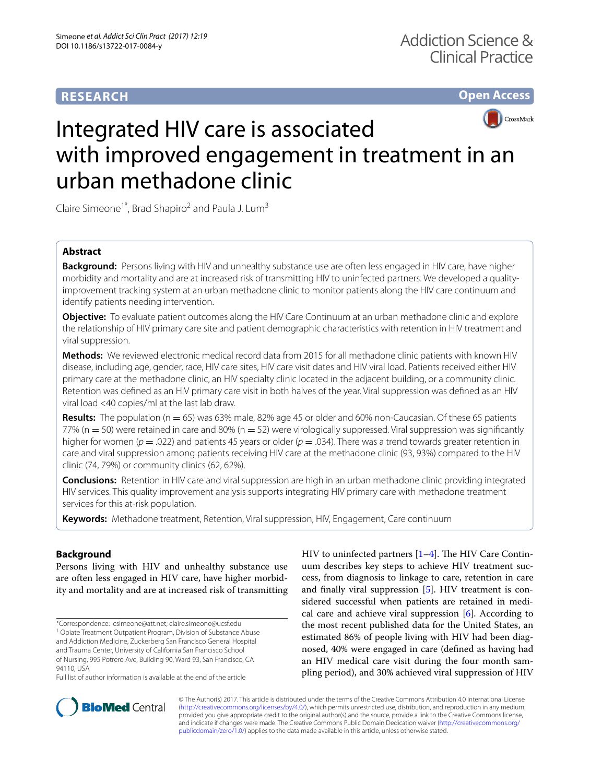## **RESEARCH**

**Open Access**



# Integrated HIV care is associated with improved engagement in treatment in an urban methadone clinic

Claire Simeone<sup>1\*</sup>, Brad Shapiro<sup>2</sup> and Paula J. Lum<sup>3</sup>

## **Abstract**

**Background:** Persons living with HIV and unhealthy substance use are often less engaged in HIV care, have higher morbidity and mortality and are at increased risk of transmitting HIV to uninfected partners. We developed a qualityimprovement tracking system at an urban methadone clinic to monitor patients along the HIV care continuum and identify patients needing intervention.

**Objective:** To evaluate patient outcomes along the HIV Care Continuum at an urban methadone clinic and explore the relationship of HIV primary care site and patient demographic characteristics with retention in HIV treatment and viral suppression.

**Methods:** We reviewed electronic medical record data from 2015 for all methadone clinic patients with known HIV disease, including age, gender, race, HIV care sites, HIV care visit dates and HIV viral load. Patients received either HIV primary care at the methadone clinic, an HIV specialty clinic located in the adjacent building, or a community clinic. Retention was defned as an HIV primary care visit in both halves of the year. Viral suppression was defned as an HIV viral load <40 copies/ml at the last lab draw.

**Results:** The population (n = 65) was 63% male, 82% age 45 or older and 60% non-Caucasian. Of these 65 patients  $77\%$  (n = 50) were retained in care and 80% (n = 52) were virologically suppressed. Viral suppression was significantly higher for women ( $p = .022$ ) and patients 45 years or older ( $p = .034$ ). There was a trend towards greater retention in care and viral suppression among patients receiving HIV care at the methadone clinic (93, 93%) compared to the HIV clinic (74, 79%) or community clinics (62, 62%).

**Conclusions:** Retention in HIV care and viral suppression are high in an urban methadone clinic providing integrated HIV services. This quality improvement analysis supports integrating HIV primary care with methadone treatment services for this at-risk population.

**Keywords:** Methadone treatment, Retention, Viral suppression, HIV, Engagement, Care continuum

### **Background**

Persons living with HIV and unhealthy substance use are often less engaged in HIV care, have higher morbidity and mortality and are at increased risk of transmitting

\*Correspondence: csimeone@att.net; claire.simeone@ucsf.edu <sup>1</sup> Opiate Treatment Outpatient Program, Division of Substance Abuse and Addiction Medicine, Zuckerberg San Francisco General Hospital and Trauma Center, University of California San Francisco School of Nursing, 995 Potrero Ave, Building 90, Ward 93, San Francisco, CA 94110, USA

HIV to uninfected partners  $[1-4]$  $[1-4]$ . The HIV Care Continuum describes key steps to achieve HIV treatment success, from diagnosis to linkage to care, retention in care and fnally viral suppression [[5\]](#page-5-2). HIV treatment is considered successful when patients are retained in medical care and achieve viral suppression [\[6](#page-5-3)]. According to the most recent published data for the United States, an estimated 86% of people living with HIV had been diagnosed, 40% were engaged in care (defned as having had an HIV medical care visit during the four month sampling period), and 30% achieved viral suppression of HIV



© The Author(s) 2017. This article is distributed under the terms of the Creative Commons Attribution 4.0 International License [\(http://creativecommons.org/licenses/by/4.0/\)](http://creativecommons.org/licenses/by/4.0/), which permits unrestricted use, distribution, and reproduction in any medium, provided you give appropriate credit to the original author(s) and the source, provide a link to the Creative Commons license, and indicate if changes were made. The Creative Commons Public Domain Dedication waiver ([http://creativecommons.org/](http://creativecommons.org/publicdomain/zero/1.0/) [publicdomain/zero/1.0/](http://creativecommons.org/publicdomain/zero/1.0/)) applies to the data made available in this article, unless otherwise stated.

Full list of author information is available at the end of the article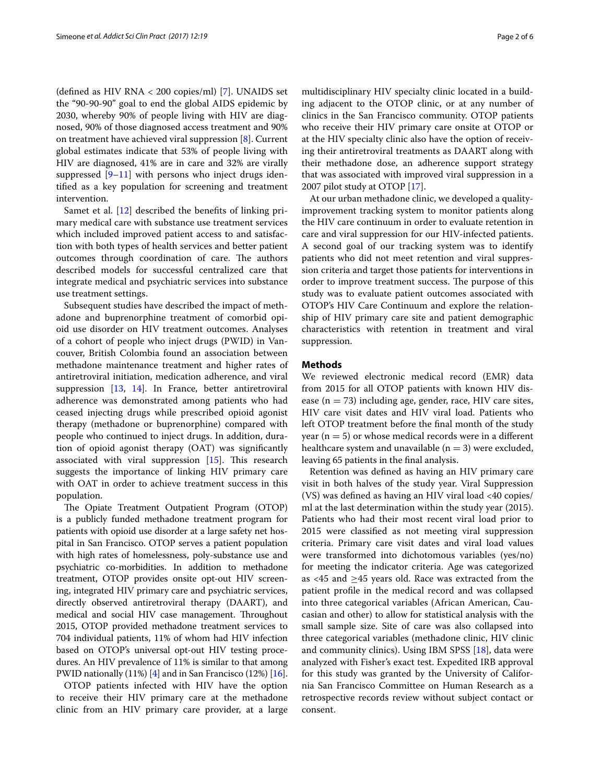(defned as HIV RNA < 200 copies/ml) [\[7\]](#page-5-4). UNAIDS set the "90-90-90" goal to end the global AIDS epidemic by 2030, whereby 90% of people living with HIV are diagnosed, 90% of those diagnosed access treatment and 90% on treatment have achieved viral suppression [\[8](#page-5-5)]. Current global estimates indicate that 53% of people living with HIV are diagnosed, 41% are in care and 32% are virally suppressed  $[9-11]$  $[9-11]$  with persons who inject drugs identifed as a key population for screening and treatment intervention.

Samet et al. [[12](#page-5-8)] described the benefts of linking primary medical care with substance use treatment services which included improved patient access to and satisfaction with both types of health services and better patient outcomes through coordination of care. The authors described models for successful centralized care that integrate medical and psychiatric services into substance use treatment settings.

Subsequent studies have described the impact of methadone and buprenorphine treatment of comorbid opioid use disorder on HIV treatment outcomes. Analyses of a cohort of people who inject drugs (PWID) in Vancouver, British Colombia found an association between methadone maintenance treatment and higher rates of antiretroviral initiation, medication adherence, and viral suppression [[13,](#page-5-9) [14](#page-5-10)]. In France, better antiretroviral adherence was demonstrated among patients who had ceased injecting drugs while prescribed opioid agonist therapy (methadone or buprenorphine) compared with people who continued to inject drugs. In addition, duration of opioid agonist therapy (OAT) was signifcantly associated with viral suppression  $[15]$  $[15]$ . This research suggests the importance of linking HIV primary care with OAT in order to achieve treatment success in this population.

The Opiate Treatment Outpatient Program (OTOP) is a publicly funded methadone treatment program for patients with opioid use disorder at a large safety net hospital in San Francisco. OTOP serves a patient population with high rates of homelessness, poly-substance use and psychiatric co-morbidities. In addition to methadone treatment, OTOP provides onsite opt-out HIV screening, integrated HIV primary care and psychiatric services, directly observed antiretroviral therapy (DAART), and medical and social HIV case management. Throughout 2015, OTOP provided methadone treatment services to 704 individual patients, 11% of whom had HIV infection based on OTOP's universal opt-out HIV testing procedures. An HIV prevalence of 11% is similar to that among PWID nationally (11%) [[4\]](#page-5-1) and in San Francisco (12%) [[16](#page-5-12)].

OTOP patients infected with HIV have the option to receive their HIV primary care at the methadone clinic from an HIV primary care provider, at a large multidisciplinary HIV specialty clinic located in a building adjacent to the OTOP clinic, or at any number of clinics in the San Francisco community. OTOP patients who receive their HIV primary care onsite at OTOP or at the HIV specialty clinic also have the option of receiving their antiretroviral treatments as DAART along with their methadone dose, an adherence support strategy that was associated with improved viral suppression in a 2007 pilot study at OTOP [[17\]](#page-5-13).

At our urban methadone clinic, we developed a qualityimprovement tracking system to monitor patients along the HIV care continuum in order to evaluate retention in care and viral suppression for our HIV-infected patients. A second goal of our tracking system was to identify patients who did not meet retention and viral suppression criteria and target those patients for interventions in order to improve treatment success. The purpose of this study was to evaluate patient outcomes associated with OTOP's HIV Care Continuum and explore the relationship of HIV primary care site and patient demographic characteristics with retention in treatment and viral suppression.

#### **Methods**

We reviewed electronic medical record (EMR) data from 2015 for all OTOP patients with known HIV disease ( $n = 73$ ) including age, gender, race, HIV care sites, HIV care visit dates and HIV viral load. Patients who left OTOP treatment before the fnal month of the study year  $(n = 5)$  or whose medical records were in a different healthcare system and unavailable ( $n = 3$ ) were excluded, leaving 65 patients in the fnal analysis.

Retention was defned as having an HIV primary care visit in both halves of the study year. Viral Suppression (VS) was defned as having an HIV viral load <40 copies/ ml at the last determination within the study year (2015). Patients who had their most recent viral load prior to 2015 were classifed as not meeting viral suppression criteria. Primary care visit dates and viral load values were transformed into dichotomous variables (yes/no) for meeting the indicator criteria. Age was categorized as <45 and ≥45 years old. Race was extracted from the patient profle in the medical record and was collapsed into three categorical variables (African American, Caucasian and other) to allow for statistical analysis with the small sample size. Site of care was also collapsed into three categorical variables (methadone clinic, HIV clinic and community clinics). Using IBM SPSS [[18\]](#page-5-14), data were analyzed with Fisher's exact test. Expedited IRB approval for this study was granted by the University of California San Francisco Committee on Human Research as a retrospective records review without subject contact or consent.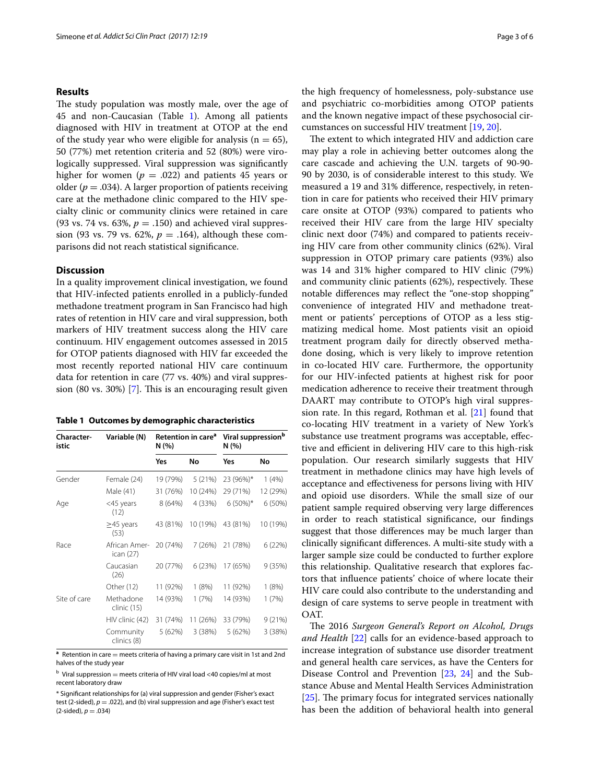#### **Results**

The study population was mostly male, over the age of 45 and non-Caucasian (Table [1\)](#page-2-0). Among all patients diagnosed with HIV in treatment at OTOP at the end of the study year who were eligible for analysis ( $n = 65$ ), 50 (77%) met retention criteria and 52 (80%) were virologically suppressed. Viral suppression was signifcantly higher for women ( $p = .022$ ) and patients 45 years or older ( $p = .034$ ). A larger proportion of patients receiving care at the methadone clinic compared to the HIV specialty clinic or community clinics were retained in care (93 vs. 74 vs. 63%,  $p = .150$ ) and achieved viral suppression (93 vs. 79 vs. 62%, *p* = .164), although these comparisons did not reach statistical signifcance.

#### **Discussion**

In a quality improvement clinical investigation, we found that HIV-infected patients enrolled in a publicly-funded methadone treatment program in San Francisco had high rates of retention in HIV care and viral suppression, both markers of HIV treatment success along the HIV care continuum. HIV engagement outcomes assessed in 2015 for OTOP patients diagnosed with HIV far exceeded the most recently reported national HIV care continuum data for retention in care (77 vs. 40%) and viral suppres-sion (80 vs. 30%) [[7\]](#page-5-4). This is an encouraging result given

<span id="page-2-0"></span>

| Table 1 Outcomes by demographic characteristics |  |  |  |  |  |  |
|-------------------------------------------------|--|--|--|--|--|--|
|-------------------------------------------------|--|--|--|--|--|--|

| Character-<br>istic | Variable (N)               | N (%)    | Retention in care <sup>a</sup> | Viral suppression <sup>b</sup><br>N(%) |           |
|---------------------|----------------------------|----------|--------------------------------|----------------------------------------|-----------|
|                     |                            | Yes      | No                             | Yes                                    | No        |
| Gender              | Female (24)                | 19 (79%) | 5(21%)                         | 23 (96%)*                              | 1(4%)     |
|                     | Male (41)                  | 31 (76%) | 10 (24%)                       | 29 (71%)                               | 12 (29%)  |
| Age                 | <45 years<br>(12)          | 8 (64%)  | 4 (33%)                        | $6(50\%)*$                             | $6(50\%)$ |
|                     | $\geq$ 45 years<br>(53)    | 43 (81%) | 10 (19%)                       | 43 (81%)                               | 10 (19%)  |
| Race                | African Amer-<br>ican (27) | 20 (74%) | 7(26%)                         | 21 (78%)                               | 6(22%)    |
|                     | Caucasian<br>(26)          | 20 (77%) | 6(23%)                         | 17 (65%)                               | 9(35%)    |
|                     | Other (12)                 | 11 (92%) | 1(8%)                          | 11 (92%)                               | 1(8%)     |
| Site of care        | Methadone<br>clinic (15)   | 14 (93%) | 1(7%)                          | 14 (93%)                               | 1(7%)     |
|                     | HIV clinic (42)            | 31 (74%) | 11 (26%)                       | 33 (79%)                               | 9(21%)    |
|                     | Community<br>clinics (8)   | 5 (62%)  | 3(38%)                         | 5 (62%)                                | 3(38%)    |

**a** Retention in care = meets criteria of having a primary care visit in 1st and 2nd halves of the study year

 $b$  Viral suppression = meets criteria of HIV viral load <40 copies/ml at most recent laboratory draw

\* Signifcant relationships for (a) viral suppression and gender (Fisher's exact test (2-sided), *p* = .022), and (b) viral suppression and age (Fisher's exact test  $(2\t{-sided})$ ,  $p = .034$ )

the high frequency of homelessness, poly-substance use and psychiatric co-morbidities among OTOP patients and the known negative impact of these psychosocial circumstances on successful HIV treatment [[19,](#page-5-15) [20](#page-5-16)].

The extent to which integrated HIV and addiction care may play a role in achieving better outcomes along the care cascade and achieving the U.N. targets of 90-90- 90 by 2030, is of considerable interest to this study. We measured a 19 and 31% diference, respectively, in retention in care for patients who received their HIV primary care onsite at OTOP (93%) compared to patients who received their HIV care from the large HIV specialty clinic next door (74%) and compared to patients receiving HIV care from other community clinics (62%). Viral suppression in OTOP primary care patients (93%) also was 14 and 31% higher compared to HIV clinic (79%) and community clinic patients  $(62%)$ , respectively. These notable diferences may refect the "one-stop shopping" convenience of integrated HIV and methadone treatment or patients' perceptions of OTOP as a less stigmatizing medical home. Most patients visit an opioid treatment program daily for directly observed methadone dosing, which is very likely to improve retention in co-located HIV care. Furthermore, the opportunity for our HIV-infected patients at highest risk for poor medication adherence to receive their treatment through DAART may contribute to OTOP's high viral suppression rate. In this regard, Rothman et al. [\[21](#page-5-17)] found that co-locating HIV treatment in a variety of New York's substance use treatment programs was acceptable, efective and efficient in delivering HIV care to this high-risk population. Our research similarly suggests that HIV treatment in methadone clinics may have high levels of acceptance and efectiveness for persons living with HIV and opioid use disorders. While the small size of our patient sample required observing very large diferences in order to reach statistical signifcance, our fndings suggest that those diferences may be much larger than clinically signifcant diferences. A multi-site study with a larger sample size could be conducted to further explore this relationship. Qualitative research that explores factors that infuence patients' choice of where locate their HIV care could also contribute to the understanding and design of care systems to serve people in treatment with OAT.

The 2016 Surgeon General's Report on Alcohol, Drugs *and Health* [[22\]](#page-5-18) calls for an evidence-based approach to increase integration of substance use disorder treatment and general health care services, as have the Centers for Disease Control and Prevention [[23](#page-5-19), [24\]](#page-5-20) and the Substance Abuse and Mental Health Services Administration  $[25]$  $[25]$ . The primary focus for integrated services nationally has been the addition of behavioral health into general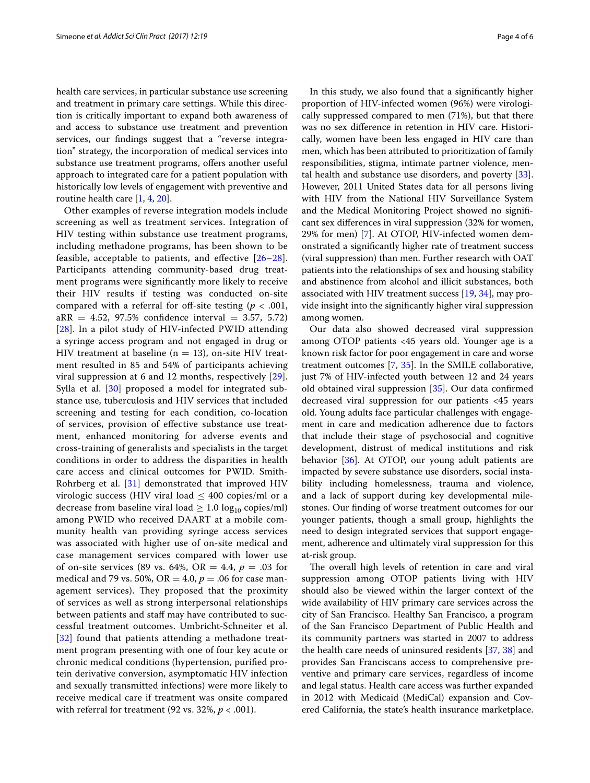health care services, in particular substance use screening and treatment in primary care settings. While this direction is critically important to expand both awareness of and access to substance use treatment and prevention services, our fndings suggest that a "reverse integration" strategy, the incorporation of medical services into substance use treatment programs, offers another useful approach to integrated care for a patient population with historically low levels of engagement with preventive and routine health care [\[1](#page-5-0), [4,](#page-5-1) [20](#page-5-16)].

Other examples of reverse integration models include screening as well as treatment services. Integration of HIV testing within substance use treatment programs, including methadone programs, has been shown to be feasible, acceptable to patients, and effective  $[26-28]$  $[26-28]$  $[26-28]$ . Participants attending community-based drug treatment programs were signifcantly more likely to receive their HIV results if testing was conducted on-site compared with a referral for off-site testing  $(p < .001, )$  $aRR = 4.52, 97.5\%$  confidence interval = 3.57, 5.72) [[28](#page-5-23)]. In a pilot study of HIV-infected PWID attending a syringe access program and not engaged in drug or HIV treatment at baseline ( $n = 13$ ), on-site HIV treatment resulted in 85 and 54% of participants achieving viral suppression at 6 and 12 months, respectively [[29](#page-5-24)]. Sylla et al. [\[30](#page-5-25)] proposed a model for integrated substance use, tuberculosis and HIV services that included screening and testing for each condition, co-location of services, provision of efective substance use treatment, enhanced monitoring for adverse events and cross-training of generalists and specialists in the target conditions in order to address the disparities in health care access and clinical outcomes for PWID. Smith-Rohrberg et al. [[31\]](#page-5-26) demonstrated that improved HIV virologic success (HIV viral load  $\leq$  400 copies/ml or a decrease from baseline viral load  $\geq 1.0 \log_{10} \text{copies/ml}$ among PWID who received DAART at a mobile community health van providing syringe access services was associated with higher use of on-site medical and case management services compared with lower use of on-site services (89 vs. 64%, OR = 4.4,  $p = .03$  for medical and 79 vs. 50%, OR = 4.0,  $p = .06$  for case management services). They proposed that the proximity of services as well as strong interpersonal relationships between patients and staff may have contributed to successful treatment outcomes. Umbricht-Schneiter et al. [[32](#page-5-27)] found that patients attending a methadone treatment program presenting with one of four key acute or chronic medical conditions (hypertension, purifed protein derivative conversion, asymptomatic HIV infection and sexually transmitted infections) were more likely to receive medical care if treatment was onsite compared with referral for treatment (92 vs. 32%, *p* < .001).

In this study, we also found that a signifcantly higher proportion of HIV-infected women (96%) were virologically suppressed compared to men (71%), but that there was no sex diference in retention in HIV care. Historically, women have been less engaged in HIV care than men, which has been attributed to prioritization of family responsibilities, stigma, intimate partner violence, mental health and substance use disorders, and poverty [\[33](#page-5-28)]. However, 2011 United States data for all persons living with HIV from the National HIV Surveillance System and the Medical Monitoring Project showed no signifcant sex diferences in viral suppression (32% for women, 29% for men) [[7\]](#page-5-4). At OTOP, HIV-infected women demonstrated a signifcantly higher rate of treatment success (viral suppression) than men. Further research with OAT patients into the relationships of sex and housing stability and abstinence from alcohol and illicit substances, both associated with HIV treatment success [\[19,](#page-5-15) [34](#page-5-29)], may provide insight into the signifcantly higher viral suppression among women.

Our data also showed decreased viral suppression among OTOP patients <45 years old. Younger age is a known risk factor for poor engagement in care and worse treatment outcomes [[7,](#page-5-4) [35\]](#page-5-30). In the SMILE collaborative, just 7% of HIV-infected youth between 12 and 24 years old obtained viral suppression [[35\]](#page-5-30). Our data confrmed decreased viral suppression for our patients <45 years old. Young adults face particular challenges with engagement in care and medication adherence due to factors that include their stage of psychosocial and cognitive development, distrust of medical institutions and risk behavior [\[36\]](#page-5-31). At OTOP, our young adult patients are impacted by severe substance use disorders, social instability including homelessness, trauma and violence, and a lack of support during key developmental milestones. Our fnding of worse treatment outcomes for our younger patients, though a small group, highlights the need to design integrated services that support engagement, adherence and ultimately viral suppression for this at-risk group.

The overall high levels of retention in care and viral suppression among OTOP patients living with HIV should also be viewed within the larger context of the wide availability of HIV primary care services across the city of San Francisco. Healthy San Francisco, a program of the San Francisco Department of Public Health and its community partners was started in 2007 to address the health care needs of uninsured residents [[37,](#page-5-32) [38](#page-5-33)] and provides San Franciscans access to comprehensive preventive and primary care services, regardless of income and legal status. Health care access was further expanded in 2012 with Medicaid (MediCal) expansion and Covered California, the state's health insurance marketplace.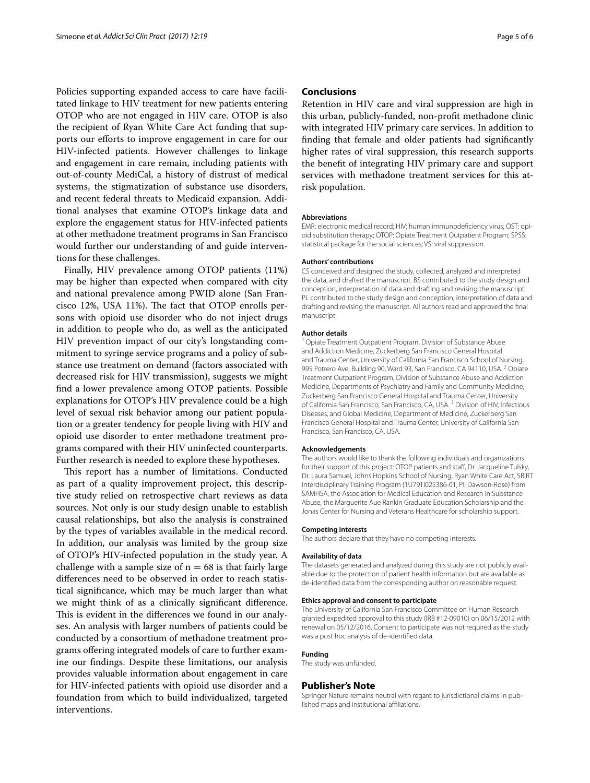Policies supporting expanded access to care have facilitated linkage to HIV treatment for new patients entering OTOP who are not engaged in HIV care. OTOP is also the recipient of Ryan White Care Act funding that supports our efforts to improve engagement in care for our HIV-infected patients. However challenges to linkage and engagement in care remain, including patients with out-of-county MediCal, a history of distrust of medical systems, the stigmatization of substance use disorders, and recent federal threats to Medicaid expansion. Additional analyses that examine OTOP's linkage data and explore the engagement status for HIV-infected patients at other methadone treatment programs in San Francisco would further our understanding of and guide interventions for these challenges.

Finally, HIV prevalence among OTOP patients (11%) may be higher than expected when compared with city and national prevalence among PWID alone (San Francisco 12%, USA 11%). The fact that OTOP enrolls persons with opioid use disorder who do not inject drugs in addition to people who do, as well as the anticipated HIV prevention impact of our city's longstanding commitment to syringe service programs and a policy of substance use treatment on demand (factors associated with decreased risk for HIV transmission), suggests we might fnd a lower prevalence among OTOP patients. Possible explanations for OTOP's HIV prevalence could be a high level of sexual risk behavior among our patient population or a greater tendency for people living with HIV and opioid use disorder to enter methadone treatment programs compared with their HIV uninfected counterparts. Further research is needed to explore these hypotheses.

This report has a number of limitations. Conducted as part of a quality improvement project, this descriptive study relied on retrospective chart reviews as data sources. Not only is our study design unable to establish causal relationships, but also the analysis is constrained by the types of variables available in the medical record. In addition, our analysis was limited by the group size of OTOP's HIV-infected population in the study year. A challenge with a sample size of  $n = 68$  is that fairly large diferences need to be observed in order to reach statistical signifcance, which may be much larger than what we might think of as a clinically signifcant diference. This is evident in the differences we found in our analyses. An analysis with larger numbers of patients could be conducted by a consortium of methadone treatment programs ofering integrated models of care to further examine our fndings. Despite these limitations, our analysis provides valuable information about engagement in care for HIV-infected patients with opioid use disorder and a foundation from which to build individualized, targeted interventions.

#### **Conclusions**

Retention in HIV care and viral suppression are high in this urban, publicly-funded, non-proft methadone clinic with integrated HIV primary care services. In addition to fnding that female and older patients had signifcantly higher rates of viral suppression, this research supports the beneft of integrating HIV primary care and support services with methadone treatment services for this atrisk population.

#### **Abbreviations**

EMR: electronic medical record; HIV: human immunodefciency virus; OST: opioid substitution therapy; OTOP: Opiate Treatment Outpatient Program; SPSS: statistical package for the social sciences; VS: viral suppression.

#### **Authors' contributions**

CS conceived and designed the study, collected, analyzed and interpreted the data, and drafted the manuscript. BS contributed to the study design and conception, interpretation of data and drafting and revising the manuscript. PL contributed to the study design and conception, interpretation of data and drafting and revising the manuscript. All authors read and approved the fnal manuscript.

#### **Author details**

<sup>1</sup> Opiate Treatment Outpatient Program, Division of Substance Abuse and Addiction Medicine, Zuckerberg San Francisco General Hospital and Trauma Center, University of California San Francisco School of Nursing, 995 Potrero Ave, Building 90, Ward 93, San Francisco, CA 94110, USA. <sup>2</sup> Opiate Treatment Outpatient Program, Division of Substance Abuse and Addiction Medicine, Departments of Psychiatry and Family and Community Medicine, Zuckerberg San Francisco General Hospital and Trauma Center, University of California San Francisco, San Francisco, CA, USA. 3 Division of HIV, Infectious Diseases, and Global Medicine, Department of Medicine, Zuckerberg San Francisco General Hospital and Trauma Center, University of California San Francisco, San Francisco, CA, USA.

#### **Acknowledgements**

The authors would like to thank the following individuals and organizations for their support of this project: OTOP patients and staf, Dr. Jacqueline Tulsky, Dr. Laura Samuel, Johns Hopkins School of Nursing, Ryan White Care Act, SBIRT Interdisciplinary Training Program (1U79TI025386-01, PI: Dawson-Rose) from SAMHSA, the Association for Medical Education and Research in Substance Abuse, the Marguerite Aue Rankin Graduate Education Scholarship and the Jonas Center for Nursing and Veterans Healthcare for scholarship support.

#### **Competing interests**

The authors declare that they have no competing interests.

#### **Availability of data**

The datasets generated and analyzed during this study are not publicly available due to the protection of patient health information but are available as de-identifed data from the corresponding author on reasonable request.

#### **Ethics approval and consent to participate**

The University of California San Francisco Committee on Human Research granted expedited approval to this study (IRB #12-09010) on 06/15/2012 with renewal on 05/12/2016. Consent to participate was not required as the study was a post hoc analysis of de-identifed data.

#### **Funding**

The study was unfunded.

#### **Publisher's Note**

Springer Nature remains neutral with regard to jurisdictional claims in published maps and institutional afliations.